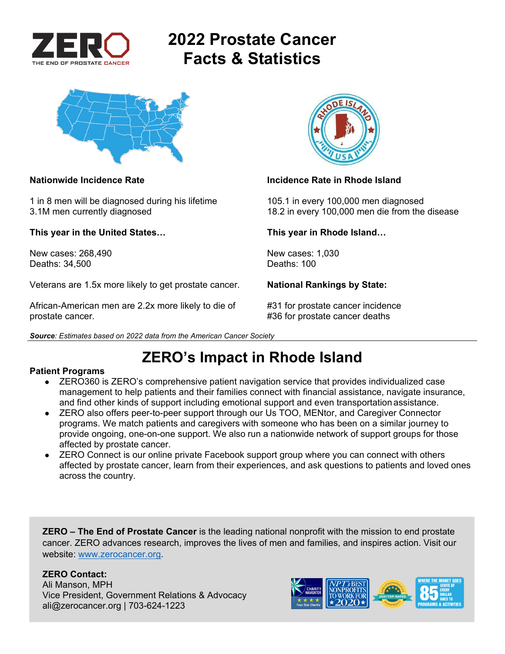

# **2022 Prostate Cancer Facts & Statistics**



1 in 8 men will be diagnosed during his lifetime 105.1 in every 100,000 men diagnosed

**This year in the United States… This year in Rhode Island…** 

New cases: 268,490 New cases: 1,030<br>Deaths: 34.500 Deaths: 100 Deaths: 34,500

Veterans are 1.5x more likely to get prostate cancer. **National Rankings by State:** 

African-American men are 2.2x more likely to die of #31 for prostate cancer incidence prostate cancer. **All any struck is a set of the set of the set of the set of the set of the set of the set of the set of the set of the set of the set of the set of the set of the set of the set of the set of the set of t** 



## **Nationwide Incidence Rate Incidence Rate in Rhode Island Contract Activities Activities Acts**

3.1M men currently diagnosed 18.2 in every 100,000 men die from the disease

*Source: Estimates based on 2022 data from the American Cancer Society* 

## **ZERO's Impact in Rhode Island**

### **Patient Programs**

- ZERO360 is ZERO's comprehensive patient navigation service that provides individualized case management to help patients and their families connect with financial assistance, navigate insurance, and find other kinds of support including emotional support and even transportation assistance.
- ZERO also offers peer-to-peer support through our Us TOO, MENtor, and Caregiver Connector programs. We match patients and caregivers with someone who has been on a similar journey to provide ongoing, one-on-one support. We also run a nationwide network of support groups for those affected by prostate cancer.
- ZERO Connect is our online private Facebook support group where you can connect with others affected by prostate cancer, learn from their experiences, and ask questions to patients and loved ones across the country.

**ZERO – The End of Prostate Cancer** is the leading national nonprofit with the mission to end prostate cancer. ZERO advances research, improves the lives of men and families, and inspires action. Visit our website: www.zerocancer.org.

## **ZERO Contact:**

Ali Manson, MPH Vice President, Government Relations & Advocacy ali@zerocancer.org | 703-624-1223